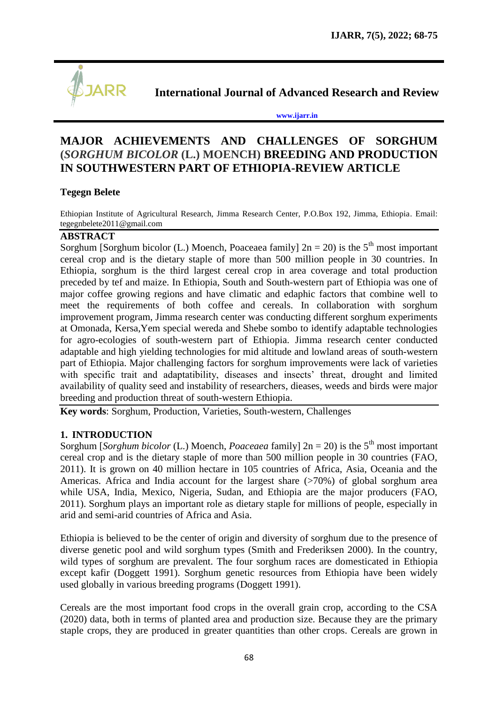

**International Journal of Advanced Research and Review**

**[www.ijarr.in](http://www.ijarr.in/)**

# **MAJOR ACHIEVEMENTS AND CHALLENGES OF SORGHUM (***SORGHUM BICOLOR* **(L.) MOENCH) BREEDING AND PRODUCTION IN SOUTHWESTERN PART OF ETHIOPIA-REVIEW ARTICLE**

# **Tegegn Belete**

Ethiopian Institute of Agricultural Research, Jimma Research Center, P.O.Box 192, Jimma, Ethiopia. Email: [tegegnbelete2011@gmail.com](mailto:tegegnbelete2011@gmail.com)

# **ABSTRACT**

Sorghum [Sorghum bicolor (L.) Moench, Poaceaea family]  $2n = 20$ ) is the 5<sup>th</sup> most important cereal crop and is the dietary staple of more than 500 million people in 30 countries. In Ethiopia, sorghum is the third largest cereal crop in area coverage and total production preceded by tef and maize. In Ethiopia, South and South-western part of Ethiopia was one of major coffee growing regions and have climatic and edaphic factors that combine well to meet the requirements of both coffee and cereals. In collaboration with sorghum improvement program, Jimma research center was conducting different sorghum experiments at Omonada, Kersa,Yem special wereda and Shebe sombo to identify adaptable technologies for agro-ecologies of south-western part of Ethiopia. Jimma research center conducted adaptable and high yielding technologies for mid altitude and lowland areas of south-western part of Ethiopia. Major challenging factors for sorghum improvements were lack of varieties with specific trait and adaptatibility, diseases and insects' threat, drought and limited availability of quality seed and instability of researchers, dieases, weeds and birds were major breeding and production threat of south-western Ethiopia.

**Key words**: Sorghum, Production, Varieties, South-western, Challenges

# **1. INTRODUCTION**

Sorghum [*Sorghum bicolor* (L.) Moench, *Poaceaea* family]  $2n = 20$ ) is the 5<sup>th</sup> most important cereal crop and is the dietary staple of more than 500 million people in 30 countries (FAO, 2011). It is grown on 40 million hectare in 105 countries of Africa, Asia, Oceania and the Americas. Africa and India account for the largest share (>70%) of global sorghum area while USA, India, Mexico, Nigeria, Sudan, and Ethiopia are the major producers (FAO, 2011). Sorghum plays an important role as dietary staple for millions of people, especially in arid and semi-arid countries of Africa and Asia.

Ethiopia is believed to be the center of origin and diversity of sorghum due to the presence of diverse genetic pool and wild sorghum types (Smith and Frederiksen 2000). In the country, wild types of sorghum are prevalent. The four sorghum races are domesticated in Ethiopia except kafir (Doggett 1991). Sorghum genetic resources from Ethiopia have been widely used globally in various breeding programs (Doggett 1991).

Cereals are the most important food crops in the overall grain crop, according to the CSA (2020) data, both in terms of planted area and production size. Because they are the primary staple crops, they are produced in greater quantities than other crops. Cereals are grown in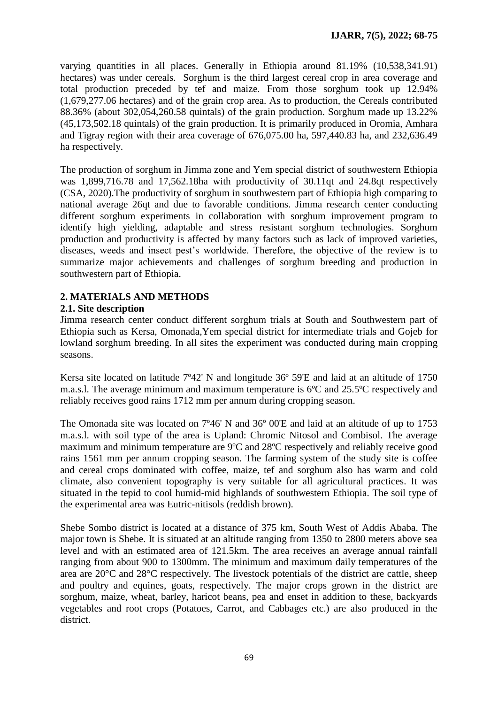varying quantities in all places. Generally in Ethiopia around 81.19% (10,538,341.91) hectares) was under cereals. Sorghum is the third largest cereal crop in area coverage and total production preceded by tef and maize. From those sorghum took up 12.94% (1,679,277.06 hectares) and of the grain crop area. As to production, the Cereals contributed 88.36% (about 302,054,260.58 quintals) of the grain production. Sorghum made up 13.22% (45,173,502.18 quintals) of the grain production. It is primarily produced in Oromia, Amhara and Tigray region with their area coverage of 676,075.00 ha, 597,440.83 ha, and 232,636.49 ha respectively.

The production of sorghum in Jimma zone and Yem special district of southwestern Ethiopia was 1,899,716.78 and 17,562.18ha with productivity of 30.11qt and 24.8qt respectively (CSA, 2020).The productivity of sorghum in southwestern part of Ethiopia high comparing to national average 26qt and due to favorable conditions. Jimma research center conducting different sorghum experiments in collaboration with sorghum improvement program to identify high yielding, adaptable and stress resistant sorghum technologies. Sorghum production and productivity is affected by many factors such as lack of improved varieties, diseases, weeds and insect pest"s worldwide. Therefore, the objective of the review is to summarize major achievements and challenges of sorghum breeding and production in southwestern part of Ethiopia.

# **2. MATERIALS AND METHODS**

# **2.1. Site description**

Jimma research center conduct different sorghum trials at South and Southwestern part of Ethiopia such as Kersa, Omonada,Yem special district for intermediate trials and Gojeb for lowland sorghum breeding. In all sites the experiment was conducted during main cropping seasons.

Kersa site located on latitude 7º42' N and longitude 36º 59'E and laid at an altitude of 1750 m.a.s.l. The average minimum and maximum temperature is 6ºC and 25.5ºC respectively and reliably receives good rains 1712 mm per annum during cropping season.

The Omonada site was located on 7º46' N and 36º 00'E and laid at an altitude of up to 1753 m.a.s.l. with soil type of the area is Upland: Chromic Nitosol and Combisol. The average maximum and minimum temperature are 9ºC and 28ºC respectively and reliably receive good rains 1561 mm per annum cropping season. The farming system of the study site is coffee and cereal crops dominated with coffee, maize, tef and sorghum also has warm and cold climate, also convenient topography is very suitable for all agricultural practices. It was situated in the tepid to cool humid-mid highlands of southwestern Ethiopia. The soil type of the experimental area was Eutric-nitisols (reddish brown).

Shebe Sombo district is located at a distance of 375 km, South West of Addis Ababa. The major town is Shebe. It is situated at an altitude ranging from 1350 to 2800 meters above sea level and with an estimated area of 121.5km. The area receives an average annual rainfall ranging from about 900 to 1300mm. The minimum and maximum daily temperatures of the area are 20°C and 28°C respectively. The livestock potentials of the district are cattle, sheep and poultry and equines, goats, respectively. The major crops grown in the district are sorghum, maize, wheat, barley, haricot beans, pea and enset in addition to these, backyards vegetables and root crops (Potatoes, Carrot, and Cabbages etc.) are also produced in the district.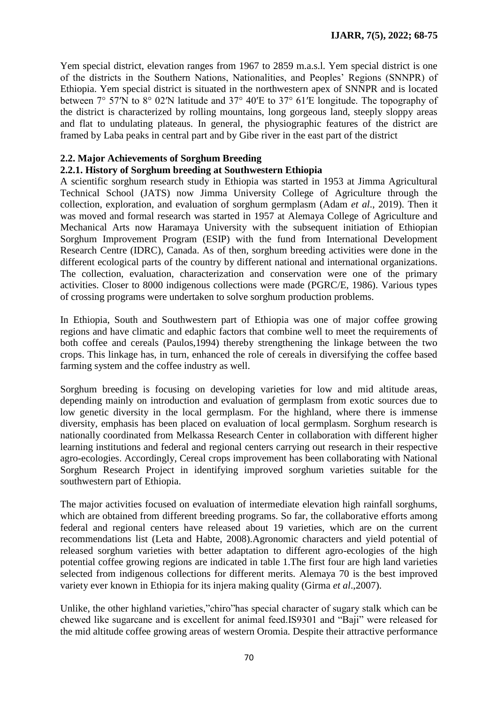Yem special district, elevation ranges from 1967 to 2859 m.a.s.l. Yem special district is one of the districts in the Southern Nations, Nationalities, and Peoples" Regions (SNNPR) of Ethiopia. Yem special district is situated in the northwestern apex of SNNPR and is located between 7° 57′N to 8° 02′N latitude and 37° 40′E to 37° 61′E longitude. The topography of the district is characterized by rolling mountains, long gorgeous land, steeply sloppy areas and flat to undulating plateaus. In general, the physiographic features of the district are framed by Laba peaks in central part and by Gibe river in the east part of the district

# **2.2. Major Achievements of Sorghum Breeding**

#### **2.2.1. History of Sorghum breeding at Southwestern Ethiopia**

A scientific sorghum research study in Ethiopia was started in 1953 at Jimma Agricultural Technical School (JATS) now Jimma University College of Agriculture through the collection, exploration, and evaluation of sorghum germplasm (Adam *et al*., 2019). Then it was moved and formal research was started in 1957 at Alemaya College of Agriculture and Mechanical Arts now Haramaya University with the subsequent initiation of Ethiopian Sorghum Improvement Program (ESIP) with the fund from International Development Research Centre (IDRC), Canada. As of then, sorghum breeding activities were done in the different ecological parts of the country by different national and international organizations. The collection, evaluation, characterization and conservation were one of the primary activities. Closer to 8000 indigenous collections were made (PGRC/E, 1986). Various types of crossing programs were undertaken to solve sorghum production problems.

In Ethiopia, South and Southwestern part of Ethiopia was one of major coffee growing regions and have climatic and edaphic factors that combine well to meet the requirements of both coffee and cereals (Paulos,1994) thereby strengthening the linkage between the two crops. This linkage has, in turn, enhanced the role of cereals in diversifying the coffee based farming system and the coffee industry as well.

Sorghum breeding is focusing on developing varieties for low and mid altitude areas, depending mainly on introduction and evaluation of germplasm from exotic sources due to low genetic diversity in the local germplasm. For the highland, where there is immense diversity, emphasis has been placed on evaluation of local germplasm. Sorghum research is nationally coordinated from Melkassa Research Center in collaboration with different higher learning institutions and federal and regional centers carrying out research in their respective agro-ecologies. Accordingly, Cereal crops improvement has been collaborating with National Sorghum Research Project in identifying improved sorghum varieties suitable for the southwestern part of Ethiopia.

The major activities focused on evaluation of intermediate elevation high rainfall sorghums, which are obtained from different breeding programs. So far, the collaborative efforts among federal and regional centers have released about 19 varieties, which are on the current recommendations list (Leta and Habte, 2008).Agronomic characters and yield potential of released sorghum varieties with better adaptation to different agro-ecologies of the high potential coffee growing regions are indicated in table 1.The first four are high land varieties selected from indigenous collections for different merits. Alemaya 70 is the best improved variety ever known in Ethiopia for its injera making quality (Girma *et al*.,2007).

Unlike, the other highland varieties,"chiro"has special character of sugary stalk which can be chewed like sugarcane and is excellent for animal feed.IS9301 and "Baji" were released for the mid altitude coffee growing areas of western Oromia. Despite their attractive performance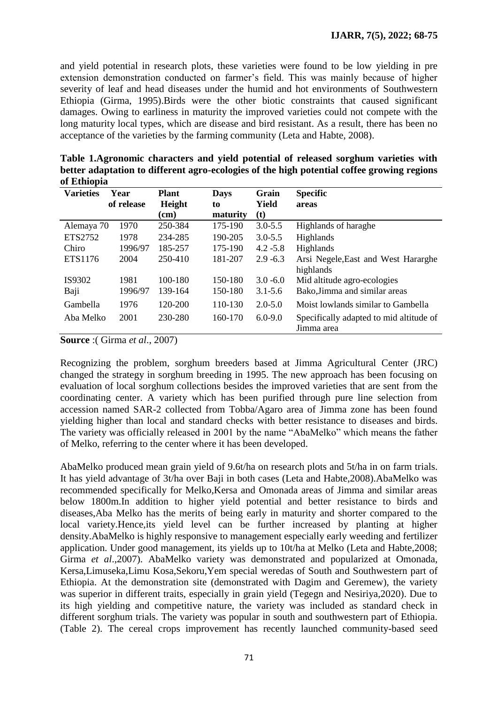and yield potential in research plots, these varieties were found to be low yielding in pre extension demonstration conducted on farmer's field. This was mainly because of higher severity of leaf and head diseases under the humid and hot environments of Southwestern Ethiopia (Girma, 1995).Birds were the other biotic constraints that caused significant damages. Owing to earliness in maturity the improved varieties could not compete with the long maturity local types, which are disease and bird resistant. As a result, there has been no acceptance of the varieties by the farming community (Leta and Habte, 2008).

| от еппоріа |            |              |             |             |                                         |
|------------|------------|--------------|-------------|-------------|-----------------------------------------|
| Varieties  | Year       | <b>Plant</b> | <b>Days</b> | Grain       | <b>Specific</b>                         |
|            | of release | Height       | to          | Yield       | areas                                   |
|            |            | (cm)         | maturity    | (t)         |                                         |
| Alemaya 70 | 1970       | 250-384      | 175-190     | $3.0 - 5.5$ | Highlands of haraghe                    |
| ETS2752    | 1978       | 234-285      | 190-205     | $3.0 - 5.5$ | Highlands                               |
| Chiro      | 1996/97    | 185-257      | 175-190     | $4.2 - 5.8$ | <b>Highlands</b>                        |
| ETS1176    | 2004       | 250-410      | 181-207     | $2.9 - 6.3$ | Arsi Negele, East and West Hararghe     |
|            |            |              |             |             | highlands                               |
| IS9302     | 1981       | 100-180      | 150-180     | $3.0 - 6.0$ | Mid altitude agro-ecologies             |
| Baji       | 1996/97    | 139-164      | 150-180     | $3.1 - 5.6$ | Bako, Jimma and similar areas           |
| Gambella   | 1976       | 120-200      | 110-130     | $2.0 - 5.0$ | Moist lowlands similar to Gambella      |
| Aba Melko  | 2001       | 230-280      | 160-170     | $6.0 - 9.0$ | Specifically adapted to mid altitude of |
|            |            |              |             |             | Jimma area                              |

**Table 1.Agronomic characters and yield potential of released sorghum varieties with better adaptation to different agro-ecologies of the high potential coffee growing regions of Ethiopia**

**Source** :( Girma *et al*., 2007)

Recognizing the problem, sorghum breeders based at Jimma Agricultural Center (JRC) changed the strategy in sorghum breeding in 1995. The new approach has been focusing on evaluation of local sorghum collections besides the improved varieties that are sent from the coordinating center. A variety which has been purified through pure line selection from accession named SAR-2 collected from Tobba/Agaro area of Jimma zone has been found yielding higher than local and standard checks with better resistance to diseases and birds. The variety was officially released in 2001 by the name "AbaMelko" which means the father of Melko, referring to the center where it has been developed.

AbaMelko produced mean grain yield of 9.6t/ha on research plots and 5t/ha in on farm trials. It has yield advantage of 3t/ha over Baji in both cases (Leta and Habte,2008).AbaMelko was recommended specifically for Melko,Kersa and Omonada areas of Jimma and similar areas below 1800m.In addition to higher yield potential and better resistance to birds and diseases,Aba Melko has the merits of being early in maturity and shorter compared to the local variety.Hence,its yield level can be further increased by planting at higher density.AbaMelko is highly responsive to management especially early weeding and fertilizer application. Under good management, its yields up to 10t/ha at Melko (Leta and Habte,2008; Girma *et al*.,2007). AbaMelko variety was demonstrated and popularized at Omonada, Kersa,Limuseka,Limu Kosa,Sekoru,Yem special weredas of South and Southwestern part of Ethiopia. At the demonstration site (demonstrated with Dagim and Geremew), the variety was superior in different traits, especially in grain yield (Tegegn and Nesiriya,2020). Due to its high yielding and competitive nature, the variety was included as standard check in different sorghum trials. The variety was popular in south and southwestern part of Ethiopia. (Table 2). The cereal crops improvement has recently launched community-based seed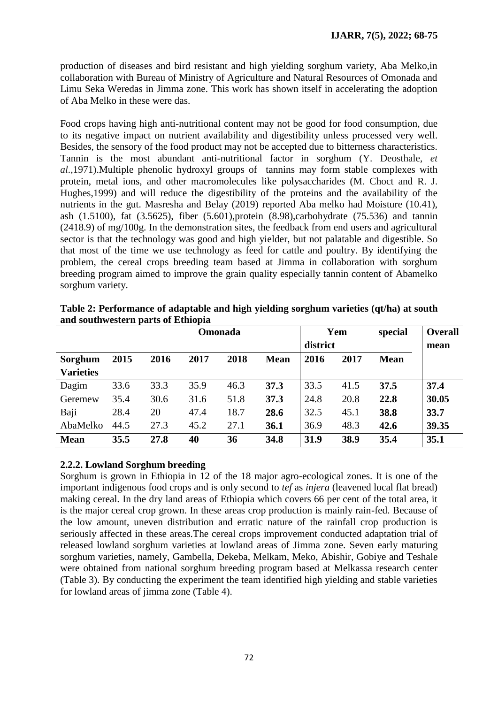production of diseases and bird resistant and high yielding sorghum variety, Aba Melko,in collaboration with Bureau of Ministry of Agriculture and Natural Resources of Omonada and Limu Seka Weredas in Jimma zone. This work has shown itself in accelerating the adoption of Aba Melko in these were das.

Food crops having high anti-nutritional content may not be good for food consumption, due to its negative impact on nutrient availability and digestibility unless processed very well. Besides, the sensory of the food product may not be accepted due to bitterness characteristics. Tannin is the most abundant anti-nutritional factor in sorghum (Y. Deosthale, *et al*.,1971).Multiple phenolic hydroxyl groups of tannins may form stable complexes with protein, metal ions, and other macromolecules like polysaccharides (M. Choct and R. J. Hughes,1999) and will reduce the digestibility of the proteins and the availability of the nutrients in the gut. Masresha and Belay (2019) reported Aba melko had Moisture (10.41), ash (1.5100), fat (3.5625), fiber (5.601),protein (8.98),carbohydrate (75.536) and tannin (2418.9) of mg/100g. In the demonstration sites, the feedback from end users and agricultural sector is that the technology was good and high yielder, but not palatable and digestible. So that most of the time we use technology as feed for cattle and poultry. By identifying the problem, the cereal crops breeding team based at Jimma in collaboration with sorghum breeding program aimed to improve the grain quality especially tannin content of Abamelko sorghum variety.

|                  |      | <b>Omonada</b> |          |      | Yem         |      | special | <b>Overall</b> |       |
|------------------|------|----------------|----------|------|-------------|------|---------|----------------|-------|
|                  |      |                | district |      |             |      |         | mean           |       |
| Sorghum          | 2015 | 2016           | 2017     | 2018 | <b>Mean</b> | 2016 | 2017    | <b>Mean</b>    |       |
| <b>Varieties</b> |      |                |          |      |             |      |         |                |       |
| Dagim            | 33.6 | 33.3           | 35.9     | 46.3 | 37.3        | 33.5 | 41.5    | 37.5           | 37.4  |
| Geremew          | 35.4 | 30.6           | 31.6     | 51.8 | 37.3        | 24.8 | 20.8    | 22.8           | 30.05 |
| Baji             | 28.4 | 20             | 47.4     | 18.7 | 28.6        | 32.5 | 45.1    | 38.8           | 33.7  |
| AbaMelko         | 44.5 | 27.3           | 45.2     | 27.1 | 36.1        | 36.9 | 48.3    | 42.6           | 39.35 |
| <b>Mean</b>      | 35.5 | 27.8           | 40       | 36   | 34.8        | 31.9 | 38.9    | 35.4           | 35.1  |

**Table 2: Performance of adaptable and high yielding sorghum varieties (qt/ha) at south and southwestern parts of Ethiopia**

# **2.2.2. Lowland Sorghum breeding**

Sorghum is grown in Ethiopia in 12 of the 18 major agro-ecological zones. It is one of the important indigenous food crops and is only second to *tef* as *injera* (leavened local flat bread) making cereal. In the dry land areas of Ethiopia which covers 66 per cent of the total area, it is the major cereal crop grown. In these areas crop production is mainly rain-fed. Because of the low amount, uneven distribution and erratic nature of the rainfall crop production is seriously affected in these areas.The cereal crops improvement conducted adaptation trial of released lowland sorghum varieties at lowland areas of Jimma zone. Seven early maturing sorghum varieties, namely, Gambella, Dekeba, Melkam, Meko, Abishir, Gobiye and Teshale were obtained from national sorghum breeding program based at Melkassa research center (Table 3). By conducting the experiment the team identified high yielding and stable varieties for lowland areas of jimma zone (Table 4).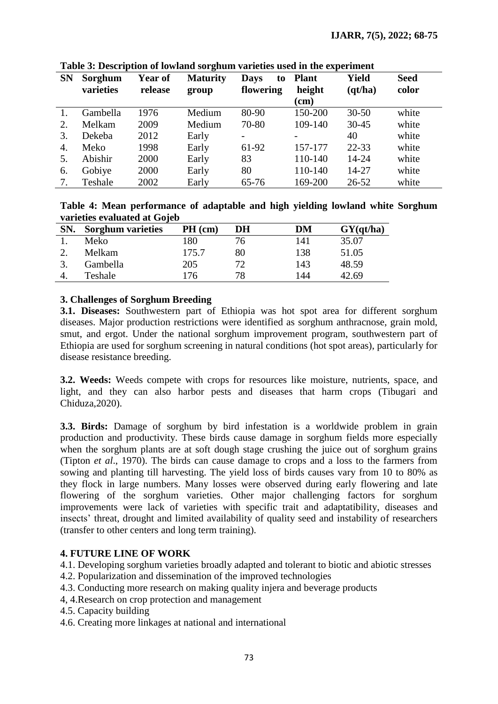| <b>SN</b> | Sorghum<br>varieties | Year of<br>release | <b>Maturity</b><br>group | <b>Days</b><br>to<br>flowering | <b>Plant</b><br>height | <b>Yield</b><br>$\left($ qt/ha) | <b>Seed</b><br>color |
|-----------|----------------------|--------------------|--------------------------|--------------------------------|------------------------|---------------------------------|----------------------|
|           |                      |                    |                          |                                | $(cm)$                 |                                 |                      |
|           | Gambella             | 1976               | Medium                   | 80-90                          | 150-200                | $30 - 50$                       | white                |
| 2.        | Melkam               | 2009               | Medium                   | 70-80                          | 109-140                | $30 - 45$                       | white                |
| 3.        | Dekeba               | 2012               | Early                    |                                |                        | 40                              | white                |
| 4.        | Meko                 | 1998               | Early                    | 61-92                          | 157-177                | $22 - 33$                       | white                |
| 5.        | Abishir              | 2000               | Early                    | 83                             | 110-140                | 14-24                           | white                |
| 6.        | Gobiye               | 2000               | Early                    | 80                             | 110-140                | 14-27                           | white                |
| 7.        | Teshale              | 2002               | Early                    | $65 - 76$                      | 169-200                | $26 - 52$                       | white                |

**Table 3: Description of lowland sorghum varieties used in the experiment**

| Table 4: Mean performance of adaptable and high yielding lowland white Sorghum |  |  |  |  |
|--------------------------------------------------------------------------------|--|--|--|--|
| varieties evaluated at Gojeb                                                   |  |  |  |  |

| SN. | <br><b>Sorghum varieties</b> | $PH$ (cm) | DH | DM  | GY(qt/ha) |
|-----|------------------------------|-----------|----|-----|-----------|
|     | Meko                         | 180       | 76 | 141 | 35.07     |
|     | Melkam                       | 175.7     | 80 | 138 | 51.05     |
|     | Gambella                     | 205       | 70 | 143 | 48.59     |
|     | Teshale                      | 76        | 78 | 144 | 42.69     |

#### **3. Challenges of Sorghum Breeding**

**3.1. Diseases:** Southwestern part of Ethiopia was hot spot area for different sorghum diseases. Major production restrictions were identified as sorghum anthracnose, grain mold, smut, and ergot. Under the national sorghum improvement program, southwestern part of Ethiopia are used for sorghum screening in natural conditions (hot spot areas), particularly for disease resistance breeding.

**3.2. Weeds:** Weeds compete with crops for resources like moisture, nutrients, space, and light, and they can also harbor pests and diseases that harm crops (Tibugari and Chiduza,2020).

**3.3. Birds:** Damage of sorghum by bird infestation is a worldwide problem in grain production and productivity. These birds cause damage in sorghum fields more especially when the sorghum plants are at soft dough stage crushing the juice out of sorghum grains (Tipton *et al*., 1970). The birds can cause damage to crops and a loss to the farmers from sowing and planting till harvesting. The yield loss of birds causes vary from 10 to 80% as they flock in large numbers. Many losses were observed during early flowering and late flowering of the sorghum varieties. Other major challenging factors for sorghum improvements were lack of varieties with specific trait and adaptatibility, diseases and insects" threat, drought and limited availability of quality seed and instability of researchers (transfer to other centers and long term training).

# **4. FUTURE LINE OF WORK**

4.1. Developing sorghum varieties broadly adapted and tolerant to biotic and abiotic stresses

- 4.2. Popularization and dissemination of the improved technologies
- 4.3. Conducting more research on making quality injera and beverage products
- 4, 4.Research on crop protection and management
- 4.5. Capacity building
- 4.6. Creating more linkages at national and international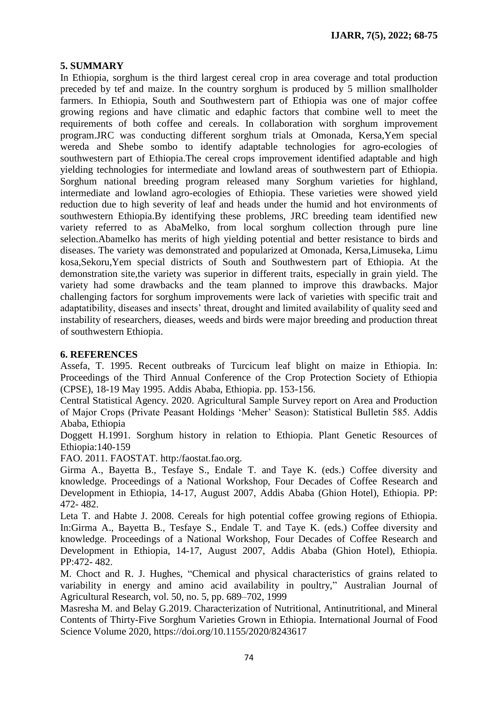# **5. SUMMARY**

In Ethiopia, sorghum is the third largest cereal crop in area coverage and total production preceded by tef and maize. In the country sorghum is produced by 5 million smallholder farmers. In Ethiopia, South and Southwestern part of Ethiopia was one of major coffee growing regions and have climatic and edaphic factors that combine well to meet the requirements of both coffee and cereals. In collaboration with sorghum improvement program.JRC was conducting different sorghum trials at Omonada, Kersa,Yem special wereda and Shebe sombo to identify adaptable technologies for agro-ecologies of southwestern part of Ethiopia.The cereal crops improvement identified adaptable and high yielding technologies for intermediate and lowland areas of southwestern part of Ethiopia. Sorghum national breeding program released many Sorghum varieties for highland, intermediate and lowland agro-ecologies of Ethiopia. These varieties were showed yield reduction due to high severity of leaf and heads under the humid and hot environments of southwestern Ethiopia.By identifying these problems, JRC breeding team identified new variety referred to as AbaMelko, from local sorghum collection through pure line selection.Abamelko has merits of high yielding potential and better resistance to birds and diseases. The variety was demonstrated and popularized at Omonada, Kersa,Limuseka, Limu kosa,Sekoru,Yem special districts of South and Southwestern part of Ethiopia. At the demonstration site,the variety was superior in different traits, especially in grain yield. The variety had some drawbacks and the team planned to improve this drawbacks. Major challenging factors for sorghum improvements were lack of varieties with specific trait and adaptatibility, diseases and insects' threat, drought and limited availability of quality seed and instability of researchers, dieases, weeds and birds were major breeding and production threat of southwestern Ethiopia.

#### **6. REFERENCES**

Assefa, T. 1995. Recent outbreaks of Turcicum leaf blight on maize in Ethiopia. In: Proceedings of the Third Annual Conference of the Crop Protection Society of Ethiopia (CPSE), 18-19 May 1995. Addis Ababa, Ethiopia. pp. 153-156.

Central Statistical Agency. 2020. Agricultural Sample Survey report on Area and Production of Major Crops (Private Peasant Holdings "Meher" Season): Statistical Bulletin 585. Addis Ababa, Ethiopia

Doggett H.1991. Sorghum history in relation to Ethiopia. Plant Genetic Resources of Ethiopia:140-159

FAO. 2011. FAOSTAT. http:/faostat.fao.org.

Girma A., Bayetta B., Tesfaye S., Endale T. and Taye K. (eds.) Coffee diversity and knowledge. Proceedings of a National Workshop, Four Decades of Coffee Research and Development in Ethiopia, 14-17, August 2007, Addis Ababa (Ghion Hotel), Ethiopia. PP: 472- 482.

Leta T. and Habte J. 2008. Cereals for high potential coffee growing regions of Ethiopia. In:Girma A., Bayetta B., Tesfaye S., Endale T. and Taye K. (eds.) Coffee diversity and knowledge. Proceedings of a National Workshop, Four Decades of Coffee Research and Development in Ethiopia, 14-17, August 2007, Addis Ababa (Ghion Hotel), Ethiopia. PP:472- 482.

M. Choct and R. J. Hughes, "Chemical and physical characteristics of grains related to variability in energy and amino acid availability in poultry," Australian Journal of Agricultural Research, vol. 50, no. 5, pp. 689–702, 1999

Masresha M. and Belay G.2019. Characterization of Nutritional, Antinutritional, and Mineral Contents of Thirty-Five Sorghum Varieties Grown in Ethiopia. International Journal of Food Science Volume 2020,<https://doi.org/10.1155/2020/8243617>